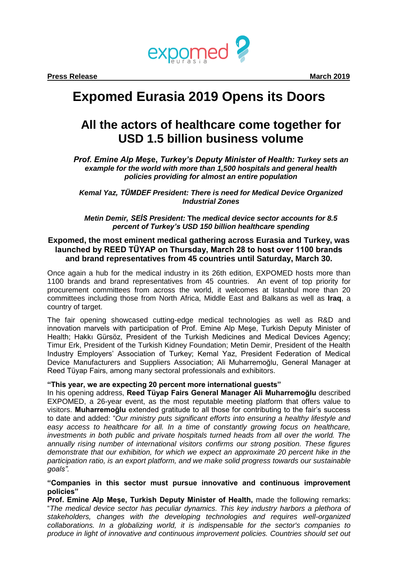

**Press Release March 2019** 

# **Expomed Eurasia 2019 Opens its Doors**

# **All the actors of healthcare come together for USD 1.5 billion business volume**

*Prof. Emine Alp Meş***e,** *Turkey's Deputy Minister of Health: Turkey sets an example for the world with more than 1,500 hospitals and general health policies providing for almost an entire population*

*Kemal Yaz, TÜMDEF President: There is need for Medical Device Organized Industrial Zones*

*Metin Demir, SEİS President:* **The** *medical device sector accounts for 8.5 percent of Turkey's USD 150 billion healthcare spending* 

## **Expomed, the most eminent medical gathering across Eurasia and Turkey, was launched by REED TÜYAP on Thursday, March 28 to host over 1100 brands and brand representatives from 45 countries until Saturday, March 30.**

Once again a hub for the medical industry in its 26th edition, EXPOMED hosts more than 1100 brands and brand representatives from 45 countries. An event of top priority for procurement committees from across the world, it welcomes at Istanbul more than 20 committees including those from North Africa, Middle East and Balkans as well as **Iraq**, a country of target.

The fair opening showcased cutting-edge medical technologies as well as R&D and innovation marvels with participation of Prof. Emine Alp Meşe, Turkish Deputy Minister of Health; Hakkı Gürsöz, President of the Turkish Medicines and Medical Devices Agency; Timur Erk, President of the Turkish Kidney Foundation; Metin Demir, President of the Health Industry Employers' Association of Turkey; Kemal Yaz, President Federation of Medical Device Manufacturers and Suppliers Association; Ali Muharremoğlu, General Manager at Reed Tüyap Fairs, among many sectoral professionals and exhibitors.

### **"This year, we are expecting 20 percent more international guests"**

In his opening address, **Reed Tüyap Fairs General Manager Ali Muharremoğlu** described EXPOMED, a 26-year event, as the most reputable meeting platform that offers value to visitors. **Muharremoğlu** extended gratitude to all those for contributing to the fair's success to date and added: "*Our ministry puts significant efforts into ensuring a healthy lifestyle and easy access to healthcare for all. In a time of constantly growing focus on healthcare, investments in both public and private hospitals turned heads from all over the world. The annually rising number of international visitors confirms our strong position. These figures*  demonstrate that our exhibition, for which we expect an approximate 20 percent hike in the *participation ratio, is an export platform, and we make solid progress towards our sustainable goals".*

**"Companies in this sector must pursue innovative and continuous improvement policies"**

**Prof. Emine Alp Meşe, Turkish Deputy Minister of Health,** made the following remarks: "*The medical device sector has peculiar dynamics. This key industry harbors a plethora of stakeholders, changes with the developing technologies and requires well-organized collaborations. In a globalizing world, it is indispensable for the sector's companies to produce in light of innovative and continuous improvement policies. Countries should set out*